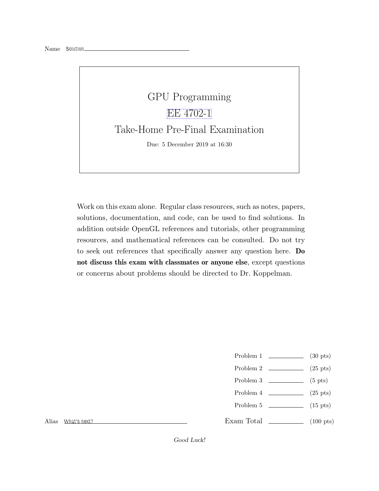

Work on this exam alone. Regular class resources, such as notes, papers, solutions, documentation, and code, can be used to find solutions. In addition outside OpenGL references and tutorials, other programming resources, and mathematical references can be consulted. Do not try to seek out references that specifically answer any question here. Do not discuss this exam with classmates or anyone else, except questions or concerns about problems should be directed to Dr. Koppelman.

- Problem  $1 \t\t(30 \text{ pts})$
- Problem 2  $\qquad \qquad$  (25 pts)
- Problem  $3 \t\t(5 \text{ pts})$
- Problem 4  $\qquad \qquad (25 \text{ pts})$
- Problem 5 (15 pts)
- Exam Total  $\qquad \qquad$  (100 pts)

Alias What's next?

Good Luck!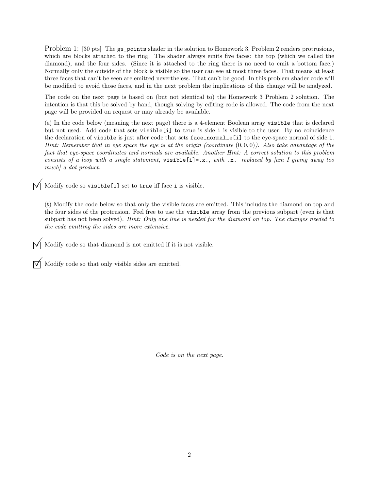Problem 1: [30 pts] The gs\_points shader in the solution to Homework 3, Problem 2 renders protrusions, which are blocks attached to the ring. The shader always emits five faces: the top (which we called the diamond), and the four sides. (Since it is attached to the ring there is no need to emit a bottom face.) Normally only the outside of the block is visible so the user can see at most three faces. That means at least three faces that can't be seen are emitted nevertheless. That can't be good. In this problem shader code will be modified to avoid those faces, and in the next problem the implications of this change will be analyzed.

The code on the next page is based on (but not identical to) the Homework 3 Problem 2 solution. The intention is that this be solved by hand, though solving by editing code is allowed. The code from the next page will be provided on request or may already be available.

(a) In the code below (meaning the next page) there is a 4-element Boolean array visible that is declared but not used. Add code that sets visible[i] to true is side i is visible to the user. By no coincidence the declaration of visible is just after code that sets face\_normal\_e[i] to the eye-space normal of side i. Hint: Remember that in eye space the eye is at the origin (coordinate  $(0,0,0)$ ). Also take advantage of the fact that eye-space coordinates and normals are available. Another Hint: A correct solution to this problem consists of a loop with a single statement, visible [i]=.x., with .x. replaced by  $\lfloor am \, I \rfloor$  giving away too much] a dot product.

Modify code so visible[i] set to true iff face <sup>i</sup> is visible.

(b) Modify the code below so that only the visible faces are emitted. This includes the diamond on top and the four sides of the protrusion. Feel free to use the visible array from the previous subpart (even is that subpart has not been solved). Hint: Only one line is needed for the diamond on top. The changes needed to the code emitting the sides are more extensive.

Modify code so that diamond is not emitted if it is not visible.

 $\overrightarrow{\bigvee}$  Modify code so that only visible sides are emitted.

Code is on the next page.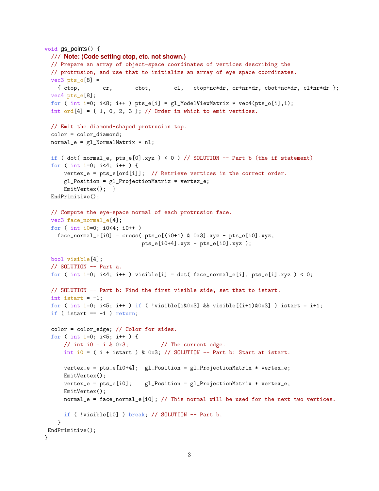```
void gs points() {
 /// Note: (Code setting ctop, etc. not shown.)
  // Prepare an array of object-space coordinates of vertices describing the
  // protrusion, and use that to initialize an array of eye-space coordinates.
  vec3 pts_o[8] =
    { ctop, cr, cbot, cl, ctop+nc*dr, cr+nr*dr, cbot+nc*dr, cl+nr*dr };
  vec4 pts_e[8];
  for ( int i=0; i<8; i++ ) pts_e[i] = gl_ModelViewMatrix * vec4(pts_o[i],1);
  int ord[4] = \{ 1, 0, 2, 3 \}; // Order in which to emit vertices.
 // Emit the diamond-shaped protrusion top.
  color = color_diamond;
 normal_e = g1_NormalMatrix * n1;if ( dot( normal_e, pts_e[0].xyz ) < 0 ) // SOLUTION -- Part b (the if statement)
  for ( int i=0; i<4; i++ ) {
      vertex_e = pts_e[ord[i]]; // Retrieve vertices in the correct order.
     gl_Position = gl_ProjectionMatrix * vertex_e;
     EmitVertex(); }
  EndPrimitive();
  // Compute the eye-space normal of each protrusion face.
  vec3 face_normal_e[4];
 for ( int i0=0; i0<4; i0++ )
   face\_normal_e[i0] = cross(pts_e[(i0+1) & 0x3].xyz - pts_e[i0].xyz,pts_e[i0+4].xyz - pts_e[i0].xyz );
  bool visible[4];
 // SOLUTION -- Part a.
  for ( int i=0; i<4; i++ ) visible[i] = dot( face_normal_e[i], pts_e[i].xyz ) < 0;
 // SOLUTION -- Part b: Find the first visible side, set that to istart.
  int istart = -1;
  for ( int i=0; i<5; i++ ) if ( !visible[i&0x3] && visible[(i+1)&0x3] ) istart = i+1;
  if ( istart == -1 ) return;
 color = color_edge; // Color for sides.
  for ( int i=0; i<5; i++ ) {
     // int i0 = i & 0x3; // The current edge.
     int i0 = ( i + istart ) & 0 \times 3; // SOLUTION -- Part b: Start at istart.
     vertex_e = pts_e[i0+4]; gl_Position = gl_ProjectionMatrix * vertex_e;EmitVertex();
     vertex_e = pts_e[i0]; gl_Position = gl_ProjectionMatrix * vertex_e;
     EmitVertex();
     normal_e = face_normal_e[i0]; // This normal will be used for the next two vertices.
     if ( !visible[i0] ) break; // SOLUTION -- Part b.
   }
EndPrimitive();
}
```

```
3
```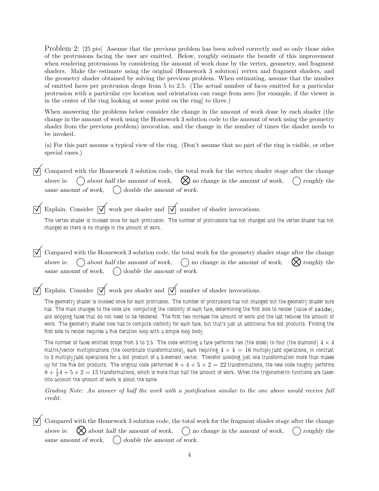Problem 2: [25 pts] Assume that the previous problem has been solved correctly and so only those sides of the protrusions facing the user are emitted. Below, roughly estimate the benefit of this improvement when rendering protrusions by considering the amount of work done by the vertex, geometry, and fragment shaders. Make the estimate using the original (Homework 3 solution) vertex and fragment shaders, and the geometry shader obtained by solving the previous problem. When estimating, assume that the number of emitted faces per protrusion drops from 5 to 2.5. (The actual number of faces emitted for a particular protrusion with a particular eye location and orientation can range from zero [for example, if the viewer is in the center of the ring looking at some point on the ring] to three.)

When answering the problems below consider the change in the amount of work done by each shader (the change in the amount of work using the Homework 3 solution code to the amount of work using the geometry shader from the previous problem) invocation, and the change in the number of times the shader needs to be invoked.

(a) For this part assume a typical view of the ring. (Don't assume that no part of the ring is visible, or other special cases.)

Compared with the Homework 3 solution code, the total work for the vertex shader stage after the change above is:  $\bigcirc$  about half the amount of work,  $\bigotimes$  no change in the amount of work,  $\bigcirc$  roughly the  $\bigcap$  about half the amount of work, same amount of work,  $\left( \right)$  double the amount of work.

Explain. Consider  $\overrightarrow{\mathcal{A}}$  work per shader and  $\overrightarrow{\mathcal{A}}$  number of shader invocations.

The vertex shader is invoked once for each protrusion. The number of protrusions has not changed and the vertex shader has not changed so there is no change in the amount of work.

Compared with the Homework 3 solution code, the total work for the geometry shader stage after the change above is:  $\bigcap$  about half the amount of work,  $\bigcap$  no change in the amount of work,  $\bigotimes$  roughly the  $\bigcap$  no change in the amount of work, same amount of work,  $\left( \right)$  double the amount of work.

Explain. Consider  $\overrightarrow{\mathcal{A}}$  work per shader and  $\overrightarrow{\mathcal{A}}$  number of shader invocations.

The geometry shader is invoked once for each protrusion. The number of protrusions has not changed but the geometry shader sure has. The main changes to the code are: computing the visibility of each face, determining the first side to render (value of iside), and skipping faces that do not need to be rendered. The first two increase the amount of work and the last reduces the amount of work. The geometry shader now has to compute visibility for each face, but that's just an additional five dot products. Finding the first side to render requires a five iteration loop with a simple loop body.

The number of faces emitted drops from 5 to 2.5. The code emitting a face performs two (the sides) to four (the diamond)  $4\times 4$ matrix/vector multiplications (the coordinate transformations), each requiring  $4 \times 4 = 16$  multiply/add operations, in contrast to 3 multiply/add operations for a dot product of a 3-element vector. Therefor avoiding just one transformation more than makes up for the five dot products. The original code performed  $8+4+5\times2=22$  transformations, the new code roughly performs  $8+\frac124+5\times2=15$  transformations, which is more than half the amount of work. When the trigonometric functions are taken into account the amount of work is about the same.

Grading Note: An answer of half the work with a justification similar to the one above would receive full credit.

Compared with the Homework 3 solution code, the total work for the fragment shader stage after the change above is:  $\bigotimes$  about half the amount of work,  $\bigcap$  no change in the amount of work,  $\bigcap$  roughly the  $\bowtie$  about half the amount of work, same amount of work,  $\bigcirc$  double the amount of work.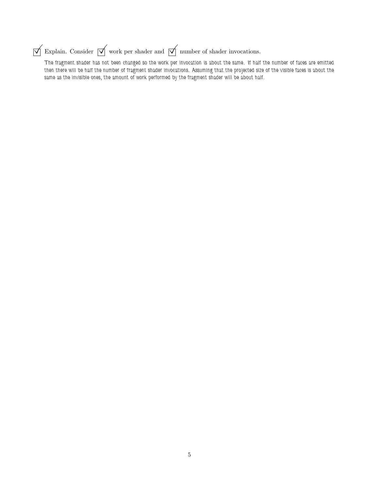## $\boxed{\bigtriangledown}$ Explain. Consider  $\boxed{\searrow}$  work per shader and  $\boxed{\searrow}$  number of shader invocations.

The fragment shader has not been changed so the work per invocation is about the same. If half the number of faces are emitted then there will be half the number of fragment shader invocations. Assuming that the projected size of the visible faces is about the same as the invisible ones, the amount of work performed by the fragment shader will be about half.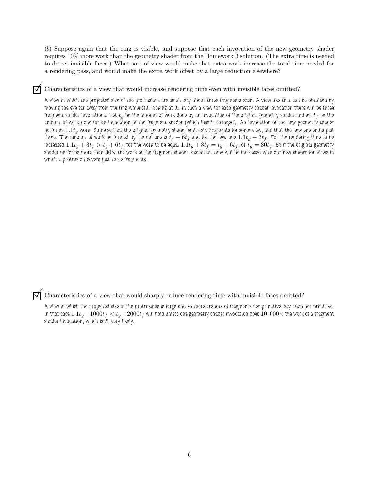(b) Suppose again that the ring is visible, and suppose that each invocation of the new geometry shader requires 10% more work than the geometry shader from the Homework 3 solution. (The extra time is needed to detect invisible faces.) What sort of view would make that extra work increase the total time needed for a rendering pass, and would make the extra work offset by a large reduction elsewhere?

Characteristics of a view that would increase rendering time even with invisible faces omitted?

A view in which the projected size of the protrusions are small, say about three fragments each. A view like that can be obtained by moving the eye far away from the ring while still looking at it. In such a view for each geometry shader invocation there will be three fragment shader invocations. Let  $t_g$  be the amount of work done by an invocation of the original geometry shader and let  $t_f$  be the amount of work done for an invocation of the fragment shader (which hasn't changed). An invocation of the new geometry shader performs  $1.1t_q$  work. Suppose that the original geometry shader emits six fragments for some view, and that the new one emits just three. The amount of work performed by the old one is  $t_g+6t_f$  and for the new one  $1.1t_g+3t_f$ . For the rendering time to be increased  $1.1t_g+3t_f> t_g+6t_f,$  for the work to be equal  $1.1t_g+3t_f=t_g+6t_f,$  or  $t_g=30t_f.$  So if the original geometry shader performs more than  $30\times$  the work of the fragment shader, execution time will be increased with our new shader for views in which a protrusion covers just three fragments.

 $\triangledown$  Characteristics of a view that would sharply reduce rendering time with invisible faces omitted?

A view in which the projected size of the protrusions is large and so there are lots of fragments per primitive, say 1000 per primitive. In that case  $1.1t_g +1000t_f < t_g +2000t_f$  will hold unless one geometry shader invocation does  $10,000\times$  the work of a fragment shader invocation, which isn't very likely.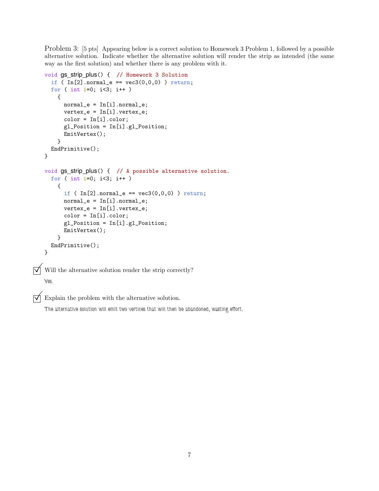Problem 3: [5 pts] Appearing below is a correct solution to Homework 3 Problem 1, followed by a possible alternative solution. Indicate whether the alternative solution will render the strip as intended (the same way as the first solution) and whether there is any problem with it.

```
void gs_strip_plus() { // Homework 3 Solution
     if ( In[2] .normal_e == vec3(0,0,0) ) return;
     for ( int i=0; i<3; i++ )
       {
         normal_e = In[i].normal_e;vertex_e = In[i].vertex_e;
         color = In[i].color;
         gl_Position = In[i].gl_Position;
         EmitVertex();
       }
     EndPrimitive();
   }
   void gs strip plus() { // A possible alternative solution.
     for ( int i=0; i<3; i++ )
       {
          if ( In[2] .normal_e == vec3(0,0,0) ) return;
         normal_e = In[i].normal_e;vertex_e = In[i].vertex_e;
          color = In[i].color;gl_Position = In[i].gl_Position;
         EmitVertex();
       }
     EndPrimitive();
   }
\triangledown Will the alternative solution render the strip correctly?
   Yes.
```
 $\overrightarrow{v}$  Explain the problem with the alternative solution.

The alternative solution will emit two vertices that will then be abandoned, wasting effort.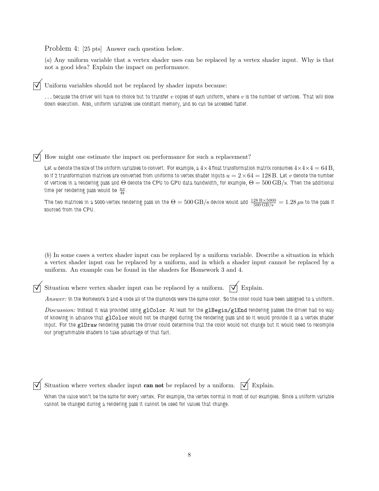Problem 4: [25 pts] Answer each question below.

(a) Any uniform variable that a vertex shader uses can be replaced by a vertex shader input. Why is that not a good idea? Explain the impact on performance.

Uniform variables should not be replaced by shader inputs because:

 $\ldots$  because the driver will have no choice but to transfer  $v$  copies of each uniform, where  $v$  is the number of vertices. That will slow down execution. Also, uniform variables use constant memory, and so can be accessed faster.

 $\triangledown$  How might one estimate the impact on performance for such a replacement?

Let u denote the size of the uniform variables to convert. For example, a  $4\times4$  float transformation matrix consumes  $4\times4\times4=64$  B, so if 2 transformation matrices are converted from uniforms to vertex shader inputs  $u = 2 \times 64 = 128$  B. Let  $v$  denote the number of vertices in a rendering pass and  $\Theta$  denote the CPU to GPU data bandwidth, for example,  $\Theta = 500\,\text{GB/s}$ . Then the additional time per rendering pass would be  $\frac{uv}{\Theta}$ .

The two matrices in a 5000-vertex rendering pass on the  $\Theta=500\,\rm{GB/s}$  device would add  $\frac{128\,\rm{B}\times5000}{500\,\rm{GB/s}}=1.28\,\mu\rm{s}$  to the pass if sourced from the CPU.

(b) In some cases a vertex shader input can be replaced by a uniform variable. Describe a situation in which a vertex shader input can be replaced by a uniform, and in which a shader input cannot be replaced by a uniform. An example can be found in the shaders for Homework 3 and 4.

Situation where vertex shader input can be replaced by a uniform.  $\forall \vec{ }$  Explain.

Answer: In the Homework 3 and 4 code all of the diamonds were the same color. So the color could have been assigned to a uniform.

Discussion: Instead it was provided using glColor. At least for the glBegin/glEnd rendering passes the driver had no way of knowing in advance that glColor would not be changed during the rendering pass and so it would provide it as a vertex shader input. For the glDraw rendering passes the driver could determine that the color would not change but it would need to recompile our programmable shaders to take advantage of that fact.

| L. L. |  |  | ı۶ |
|-------|--|--|----|
|-------|--|--|----|

ation where vertex shader input **can not** be replaced by a uniform.  $\overrightarrow{\mathsf{V}}$  Explain.

When the value won't be the same for every vertex. For example, the vertex normal in most of our examples. Since a uniform variable cannot be changed during a rendering pass it cannot be used for values that change.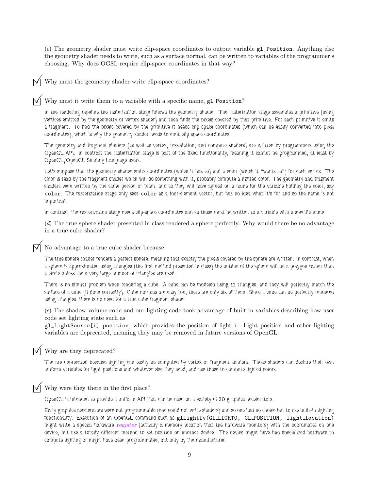$(c)$  The geometry shader must write clip-space coordinates to output variable  $g_1$ -position. Anything else the geometry shader needs to write, such as a surface normal, can be written to variables of the programmer's choosing. Why does OGSL require clip-space coordinates in that way?

Why must the geometry shader write clip-space coordinates?

Why must it write them to a variable with a specific name,  $g1$ -Position?

In the rendering pipeline the rasterization stage follows the geometry shader. The rasterization stage assembles a primitive (using vertices emitted by the geometry or vertex shader) and then finds the pixels covered by that primitive. For each primitive it emits a fragment. To find the pixels covered by the primitive it needs clip space coordinates (which can be easily converted into pixel coordinates), which is why the geometry shader needs to emit clip space coordinates.

The geometry and fragment shaders (as well as vertex, tessellation, and compute shaders) are written by programmers using the OpenGL API. In contrast the rasterization stage is part of the fixed functionality, meaning it cannot be programmed, at least by OpenGL/OpenGL Shading Language users.

Let's suppose that the geometry shader emits coordinates (which it has to) and a color (which it "wants to") for each vertex. The color is read by the fragment shader which will do something with it, probably compute a lighted color. The geometry and fragment shaders were written by the same person or team, and so they will have agreed on a name for the variable holding the color, say coler. The rasterization stage only sees coler as a four-element vector, but has no idea what it's for and so the name is not important.

In contrast, the rasterization stage needs clip-space coordinates and so those must be written to a variable with a specific name.

(d) The true sphere shader presented in class rendered a sphere perfectly. Why would there be no advantage in a true cube shader?

No advantage to a true cube shader because:

The true sphere shader renders a perfect sphere, meaning that exactly the pixels covered by the sphere are written. In contrast, when a sphere is approximated using triangles (the first method presented in class) the outline of the sphere will be a polygon rather than a circle unless the a very large number of triangles are used.

There is no similar problem when rendering a cube. A cube can be modeled using 12 triangles, and they will perfectly match the surface of a cube (if done correctly). Cube normals are easy too, there are only six of them. Since a cube can be perfectly rendered using triangles, there is no need for a true cube fragment shader.

(e) The shadow volume code and our lighting code took advantage of built in variables describing how user code set lighting state such as

gl\_LightSource[i].position, which provides the position of light i. Light position and other lighting variables are deprecated, meaning they may be removed in future versions of OpenGL.

## Why are they deprecated?

The are deprecated because lighting can easily be computed by vertex or fragment shaders. Those shaders can declare their own uniform variables for light positions and whatever else they need, and use those to compute lighted colors.

## Why were they there in the first place?

OpenGL is intended to provide a uniform API that can be used on a variety of 3D graphics accelerators.

Early graphics accelerators were not programmable (one could not write shaders) and so one had no choice but to use built-in lighting functionality. Execution of an OpenGL command such as glLightfv(GL\_LIGHTO, GL\_POSITION, light\_location) might write a special hardware register (actually a memory location that the hardware monitors) with the coordinates on one device, but use a totally different method to set position on another device. The device might have had specialized hardware to compute lighting or might have been programmable, but only by the manufacturer.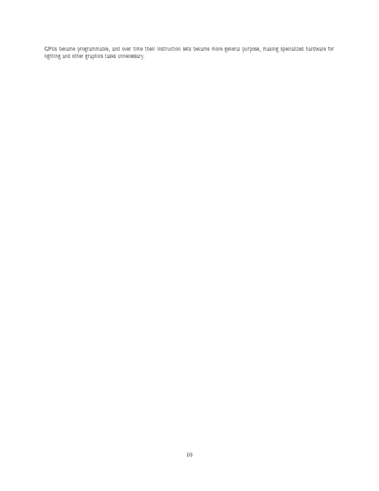GPUs became programmable, and over time their instruction sets became more general purpose, making specialized hardware for lighting and other graphics tasks unnecessary.